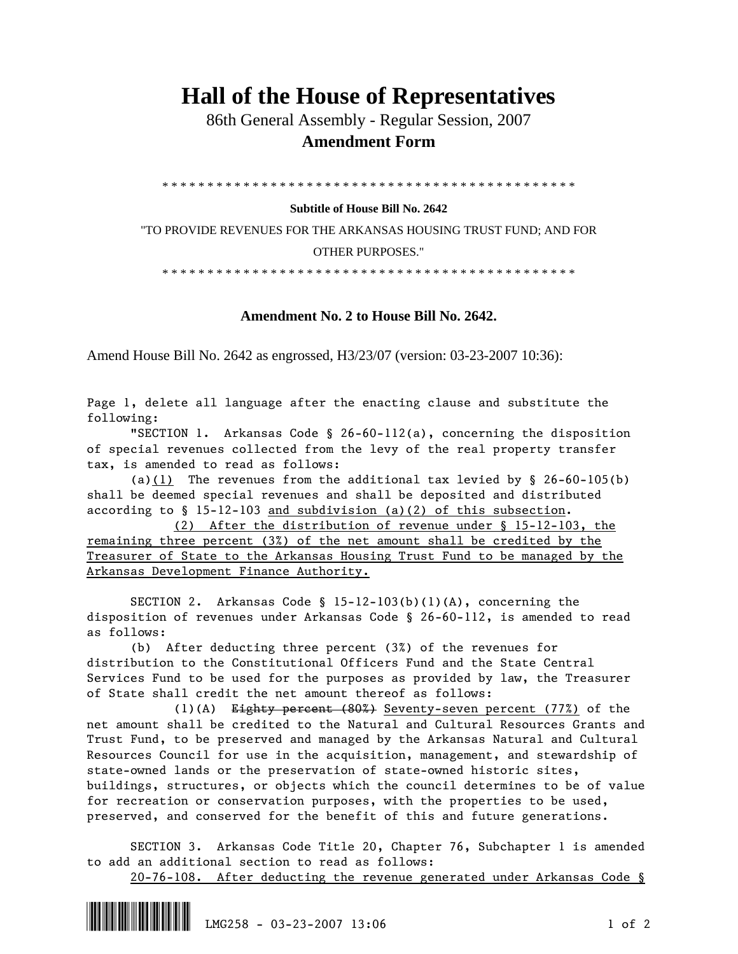## **Hall of the House of Representatives**

 86th General Assembly - Regular Session, 2007  **Amendment Form** 

\* \* \* \* \* \* \* \* \* \* \* \* \* \* \* \* \* \* \* \* \* \* \* \* \* \* \* \* \* \* \* \* \* \* \* \* \* \* \* \* \* \* \* \* \* \*

## **Subtitle of House Bill No. 2642**

"TO PROVIDE REVENUES FOR THE ARKANSAS HOUSING TRUST FUND; AND FOR OTHER PURPOSES."

\* \* \* \* \* \* \* \* \* \* \* \* \* \* \* \* \* \* \* \* \* \* \* \* \* \* \* \* \* \* \* \* \* \* \* \* \* \* \* \* \* \* \* \* \* \*

## **Amendment No. 2 to House Bill No. 2642.**

Amend House Bill No. 2642 as engrossed, H3/23/07 (version: 03-23-2007 10:36):

Page 1, delete all language after the enacting clause and substitute the following:

"SECTION 1. Arkansas Code § 26-60-112(a), concerning the disposition of special revenues collected from the levy of the real property transfer tax, is amended to read as follows:

(a)(1) The revenues from the additional tax levied by  $\S$  26-60-105(b) shall be deemed special revenues and shall be deposited and distributed according to  $\S$  15-12-103 and subdivision (a)(2) of this subsection.

 (2) After the distribution of revenue under § 15-12-103, the remaining three percent (3%) of the net amount shall be credited by the Treasurer of State to the Arkansas Housing Trust Fund to be managed by the Arkansas Development Finance Authority.

 SECTION 2. Arkansas Code § 15-12-103(b)(1)(A), concerning the disposition of revenues under Arkansas Code § 26-60-112, is amended to read as follows:

 (b) After deducting three percent (3%) of the revenues for distribution to the Constitutional Officers Fund and the State Central Services Fund to be used for the purposes as provided by law, the Treasurer of State shall credit the net amount thereof as follows:

 (1)(A) Eighty percent (80%) Seventy-seven percent (77%) of the net amount shall be credited to the Natural and Cultural Resources Grants and Trust Fund, to be preserved and managed by the Arkansas Natural and Cultural Resources Council for use in the acquisition, management, and stewardship of state-owned lands or the preservation of state-owned historic sites, buildings, structures, or objects which the council determines to be of value for recreation or conservation purposes, with the properties to be used, preserved, and conserved for the benefit of this and future generations.

 SECTION 3. Arkansas Code Title 20, Chapter 76, Subchapter 1 is amended to add an additional section to read as follows:

20-76-108. After deducting the revenue generated under Arkansas Code §